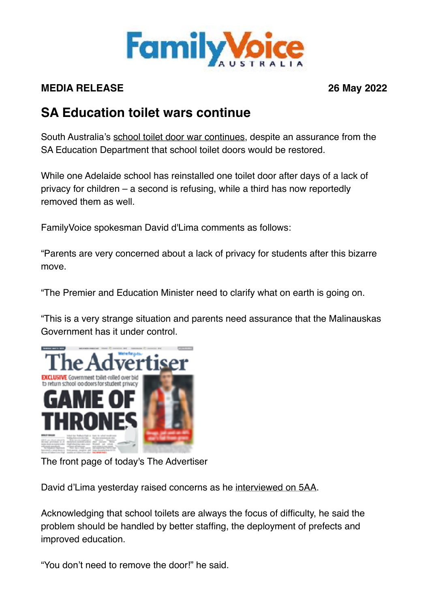

## **MEDIA RELEASE 26 May 2022**

## **SA Education toilet wars continue**

South Australia's [school toilet door war continues](https://www.adelaidenow.com.au/subscribe/news/1/?sourceCode=AAWEB_WRE170_a&dest=https://www.adelaidenow.com.au/messenger/north-northeast/one-golden-grove-high-school-toilet-door-returned-in-win-for-common-sense/news-story/bf0b90bc1be8e770d3e8fe80071635a9&memtype=anonymous&mode=premium&v21=dynamic-cold-control-noscore&V21spcbehaviour=append), despite an assurance from the SA Education Department that school toilet doors would be restored.

While one Adelaide school has reinstalled one toilet door after days of a lack of privacy for children – a second is refusing, while a third has now reportedly removed them as well.

FamilyVoice spokesman David d'Lima comments as follows:

"Parents are very concerned about a lack of privacy for students after this bizarre move.

"The Premier and Education Minister need to clarify what on earth is going on.

"This is a very strange situation and parents need assurance that the Malinauskas Government has it under control.



The front page of today's The Advertiser

David d'Lima yesterday raised concerns as he [interviewed on 5AA](https://omny.fm/shows/evenings-with-matthew-pantelis/interview-david-dlima-25-may-2022).

Acknowledging that school toilets are always the focus of difficulty, he said the problem should be handled by better staffing, the deployment of prefects and improved education.

"You don't need to remove the door!" he said.